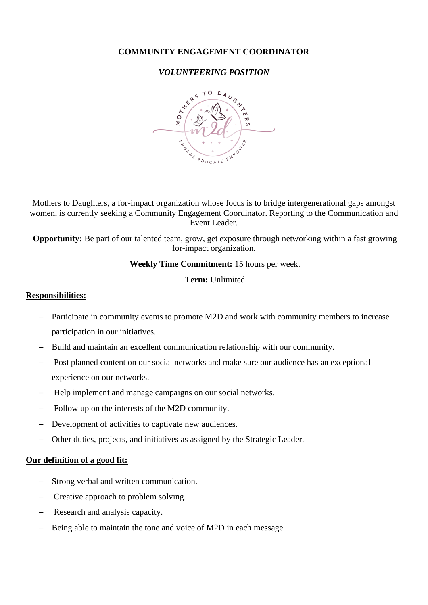# **COMMUNITY ENGAGEMENT COORDINATOR**

# *VOLUNTEERING POSITION*



Mothers to Daughters, a for-impact organization whose focus is to bridge intergenerational gaps amongst women, is currently seeking a Community Engagement Coordinator. Reporting to the Communication and Event Leader.

**Opportunity:** Be part of our talented team, grow, get exposure through networking within a fast growing for-impact organization.

### **Weekly Time Commitment:** 15 hours per week.

**Term:** Unlimited

### **Responsibilities:**

- Participate in community events to promote M2D and work with community members to increase participation in our initiatives.
- − Build and maintain an excellent communication relationship with our community.
- Post planned content on our social networks and make sure our audience has an exceptional experience on our networks.
- Help implement and manage campaigns on our social networks.
- Follow up on the interests of the M2D community.
- − Development of activities to captivate new audiences.
- Other duties, projects, and initiatives as assigned by the Strategic Leader.

#### **Our definition of a good fit:**

- Strong verbal and written communication.
- − Creative approach to problem solving.
- Research and analysis capacity.
- Being able to maintain the tone and voice of M2D in each message.